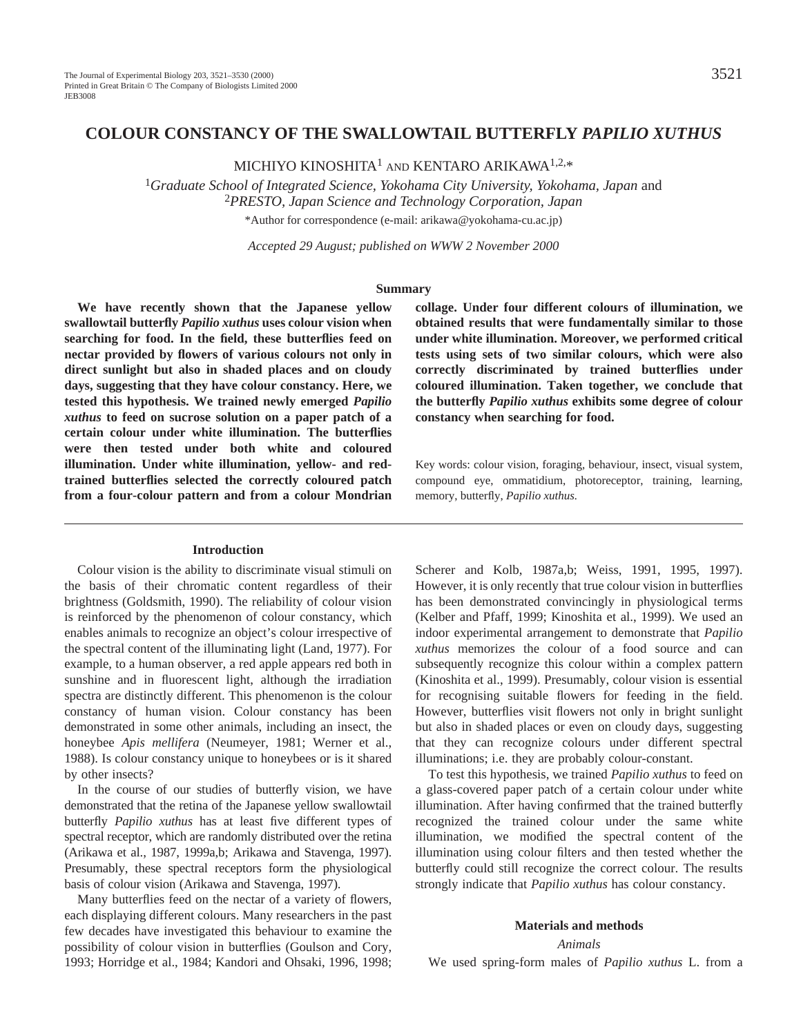MICHIYO KINOSHITA<sup>1</sup> AND KENTARO ARIKAWA<sup>1,2,\*</sup>

<sup>1</sup>*Graduate School of Integrated Science, Yokohama City University, Yokohama, Japan* and <sup>2</sup>*PRESTO, Japan Science and Technology Corporation, Japan* \*Author for correspondence (e-mail: arikawa@yokohama-cu.ac.jp)

*Accepted 29 August; published on WWW 2 November 2000*

### **Summary**

**We have recently shown that the Japanese yellow swallowtail butterfly** *Papilio xuthus* **uses colour vision when searching for food. In the field, these butterflies feed on nectar provided by flowers of various colours not only in direct sunlight but also in shaded places and on cloudy days, suggesting that they have colour constancy. Here, we tested this hypothesis. We trained newly emerged** *Papilio xuthus* **to feed on sucrose solution on a paper patch of a certain colour under white illumination. The butterflies were then tested under both white and coloured illumination. Under white illumination, yellow- and redtrained butterflies selected the correctly coloured patch from a four-colour pattern and from a colour Mondrian**

#### **Introduction**

Colour vision is the ability to discriminate visual stimuli on the basis of their chromatic content regardless of their brightness (Goldsmith, 1990). The reliability of colour vision is reinforced by the phenomenon of colour constancy, which enables animals to recognize an object's colour irrespective of the spectral content of the illuminating light (Land, 1977). For example, to a human observer, a red apple appears red both in sunshine and in fluorescent light, although the irradiation spectra are distinctly different. This phenomenon is the colour constancy of human vision. Colour constancy has been demonstrated in some other animals, including an insect, the honeybee *Apis mellifera* (Neumeyer, 1981; Werner et al., 1988). Is colour constancy unique to honeybees or is it shared by other insects?

In the course of our studies of butterfly vision, we have demonstrated that the retina of the Japanese yellow swallowtail butterfly *Papilio xuthus* has at least five different types of spectral receptor, which are randomly distributed over the retina (Arikawa et al., 1987, 1999a,b; Arikawa and Stavenga, 1997). Presumably, these spectral receptors form the physiological basis of colour vision (Arikawa and Stavenga, 1997).

Many butterflies feed on the nectar of a variety of flowers, each displaying different colours. Many researchers in the past few decades have investigated this behaviour to examine the possibility of colour vision in butterflies (Goulson and Cory, 1993; Horridge et al., 1984; Kandori and Ohsaki, 1996, 1998; **collage. Under four different colours of illumination, we obtained results that were fundamentally similar to those under white illumination. Moreover, we performed critical tests using sets of two similar colours, which were also correctly discriminated by trained butterflies under coloured illumination. Taken together, we conclude that the butterfly** *Papilio xuthus* **exhibits some degree of colour constancy when searching for food.**

Key words: colour vision, foraging, behaviour, insect, visual system, compound eye, ommatidium, photoreceptor, training, learning, memory, butterfly, *Papilio xuthus.*

Scherer and Kolb, 1987a,b; Weiss, 1991, 1995, 1997). However, it is only recently that true colour vision in butterflies has been demonstrated convincingly in physiological terms (Kelber and Pfaff, 1999; Kinoshita et al., 1999). We used an indoor experimental arrangement to demonstrate that *Papilio xuthus* memorizes the colour of a food source and can subsequently recognize this colour within a complex pattern (Kinoshita et al., 1999). Presumably, colour vision is essential for recognising suitable flowers for feeding in the field. However, butterflies visit flowers not only in bright sunlight but also in shaded places or even on cloudy days, suggesting that they can recognize colours under different spectral illuminations; i.e. they are probably colour-constant.

To test this hypothesis, we trained *Papilio xuthus* to feed on a glass-covered paper patch of a certain colour under white illumination. After having confirmed that the trained butterfly recognized the trained colour under the same white illumination, we modified the spectral content of the illumination using colour filters and then tested whether the butterfly could still recognize the correct colour. The results strongly indicate that *Papilio xuthus* has colour constancy.

# **Materials and methods**

*Animals* We used spring-form males of *Papilio xuthus* L. from a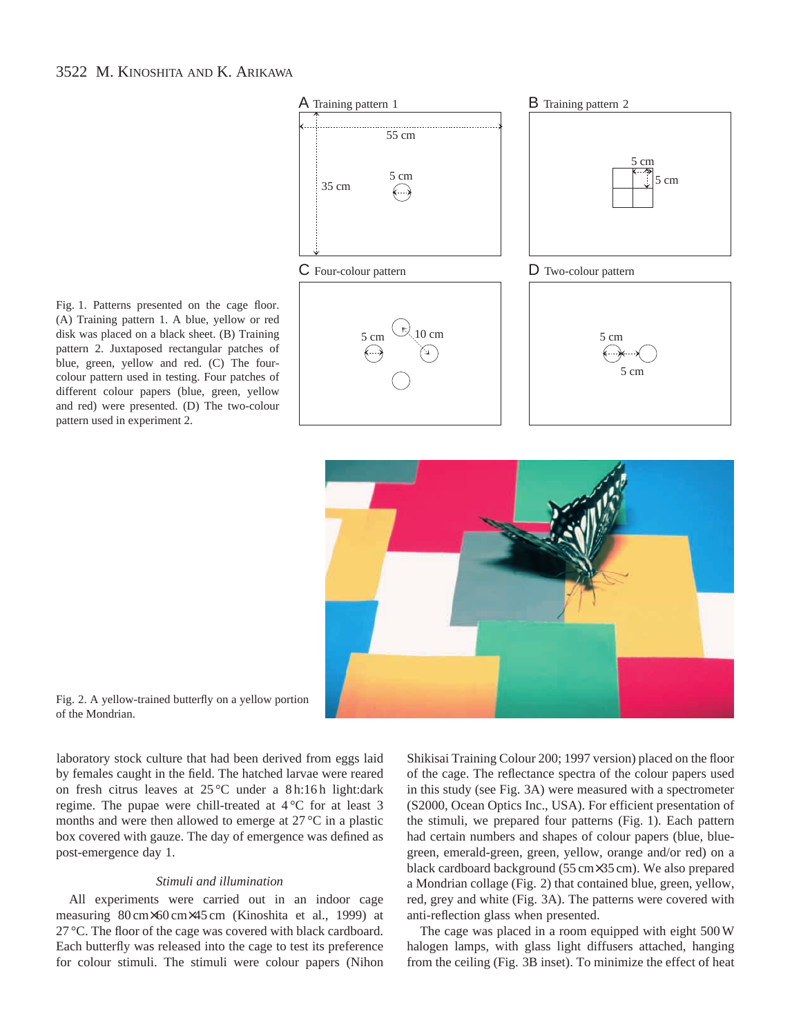Fig. 1. Patterns presented on the cage floor. (A) Training pattern 1. A blue, yellow or red disk was placed on a black sheet. (B) Training pattern 2. Juxtaposed rectangular patches of blue, green, yellow and red. (C) The fourcolour pattern used in testing. Four patches of different colour papers (blue, green, yellow and red) were presented. (D) The two-colour pattern used in experiment 2.





Fig. 2. A yellow-trained butterfly on a yellow portion of the Mondrian.

laboratory stock culture that had been derived from eggs laid by females caught in the field. The hatched larvae were reared on fresh citrus leaves at 25 °C under a 8 h:16 h light:dark regime. The pupae were chill-treated at 4 °C for at least 3 months and were then allowed to emerge at 27 °C in a plastic box covered with gauze. The day of emergence was defined as post-emergence day 1.

## *Stimuli and illumination*

All experiments were carried out in an indoor cage measuring 80 cm×60 cm×45 cm (Kinoshita et al., 1999) at 27 °C. The floor of the cage was covered with black cardboard. Each butterfly was released into the cage to test its preference for colour stimuli. The stimuli were colour papers (Nihon

Shikisai Training Colour 200; 1997 version) placed on the floor of the cage. The reflectance spectra of the colour papers used in this study (see Fig. 3A) were measured with a spectrometer (S2000, Ocean Optics Inc., USA). For efficient presentation of the stimuli, we prepared four patterns (Fig. 1). Each pattern had certain numbers and shapes of colour papers (blue, bluegreen, emerald-green, green, yellow, orange and/or red) on a black cardboard background (55 cm×35 cm). We also prepared a Mondrian collage (Fig. 2) that contained blue, green, yellow, red, grey and white (Fig. 3A). The patterns were covered with anti-reflection glass when presented.

The cage was placed in a room equipped with eight 500 W halogen lamps, with glass light diffusers attached, hanging from the ceiling (Fig. 3B inset). To minimize the effect of heat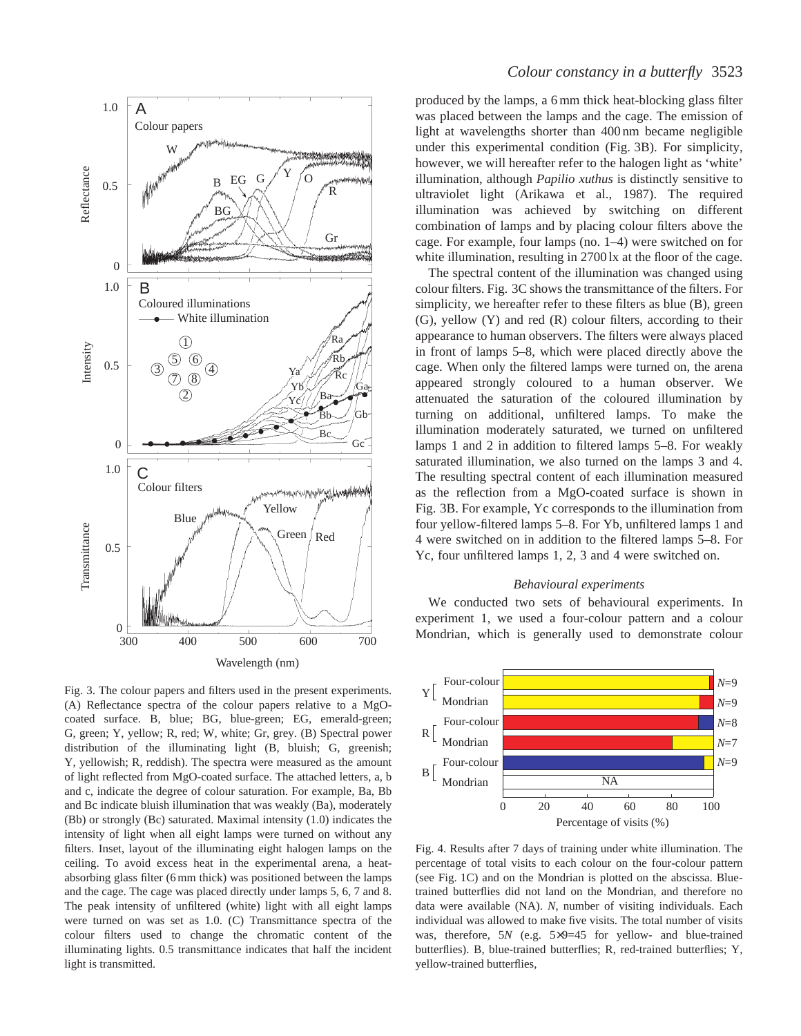

Fig. 3. The colour papers and filters used in the present experiments. (A) Reflectance spectra of the colour papers relative to a MgOcoated surface. B, blue; BG, blue-green; EG, emerald-green; G, green; Y, yellow; R, red; W, white; Gr, grey. (B) Spectral power distribution of the illuminating light (B, bluish; G, greenish; Y, yellowish; R, reddish). The spectra were measured as the amount of light reflected from MgO-coated surface. The attached letters, a, b and c, indicate the degree of colour saturation. For example, Ba, Bb and Bc indicate bluish illumination that was weakly (Ba), moderately (Bb) or strongly (Bc) saturated. Maximal intensity (1.0) indicates the intensity of light when all eight lamps were turned on without any filters. Inset, layout of the illuminating eight halogen lamps on the ceiling. To avoid excess heat in the experimental arena, a heatabsorbing glass filter (6 mm thick) was positioned between the lamps and the cage. The cage was placed directly under lamps 5, 6, 7 and 8. The peak intensity of unfiltered (white) light with all eight lamps were turned on was set as 1.0. (C) Transmittance spectra of the colour filters used to change the chromatic content of the illuminating lights. 0.5 transmittance indicates that half the incident light is transmitted.

produced by the lamps, a 6 mm thick heat-blocking glass filter was placed between the lamps and the cage. The emission of light at wavelengths shorter than 400 nm became negligible under this experimental condition (Fig. 3B). For simplicity, however, we will hereafter refer to the halogen light as 'white' illumination, although *Papilio xuthus* is distinctly sensitive to ultraviolet light (Arikawa et al., 1987). The required illumination was achieved by switching on different combination of lamps and by placing colour filters above the cage. For example, four lamps (no. 1–4) were switched on for white illumination, resulting in 2700 lx at the floor of the cage.

The spectral content of the illumination was changed using colour filters. Fig. 3C shows the transmittance of the filters. For simplicity, we hereafter refer to these filters as blue (B), green (G), yellow (Y) and red (R) colour filters, according to their appearance to human observers. The filters were always placed in front of lamps 5–8, which were placed directly above the cage. When only the filtered lamps were turned on, the arena appeared strongly coloured to a human observer. We attenuated the saturation of the coloured illumination by turning on additional, unfiltered lamps. To make the illumination moderately saturated, we turned on unfiltered lamps 1 and 2 in addition to filtered lamps 5–8. For weakly saturated illumination, we also turned on the lamps 3 and 4. The resulting spectral content of each illumination measured as the reflection from a MgO-coated surface is shown in Fig. 3B. For example, Yc corresponds to the illumination from four yellow-filtered lamps 5–8. For Yb, unfiltered lamps 1 and 4 were switched on in addition to the filtered lamps 5–8. For Yc, four unfiltered lamps 1, 2, 3 and 4 were switched on.

# *Behavioural experiments*

We conducted two sets of behavioural experiments. In experiment 1, we used a four-colour pattern and a colour Mondrian, which is generally used to demonstrate colour



Fig. 4. Results after 7 days of training under white illumination. The percentage of total visits to each colour on the four-colour pattern (see Fig. 1C) and on the Mondrian is plotted on the abscissa. Bluetrained butterflies did not land on the Mondrian, and therefore no data were available (NA). *N*, number of visiting individuals. Each individual was allowed to make five visits. The total number of visits was, therefore, 5*N* (e.g. 5×9=45 for yellow- and blue-trained butterflies). B, blue-trained butterflies; R, red-trained butterflies; Y, yellow-trained butterflies,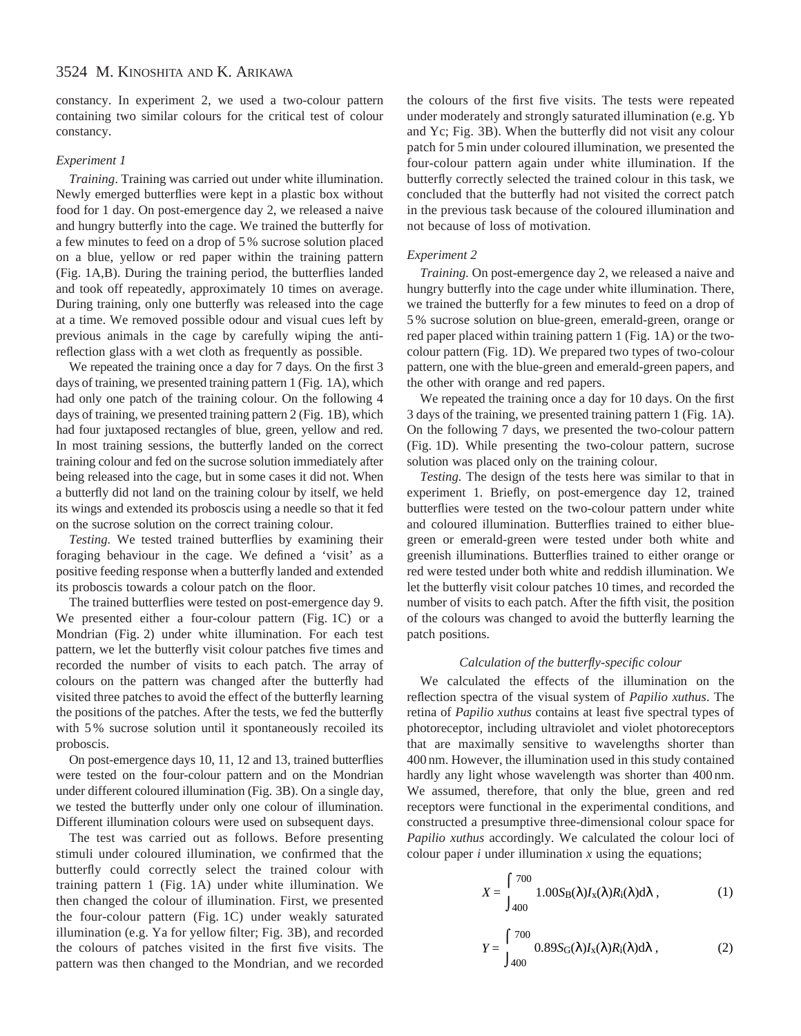constancy. In experiment 2, we used a two-colour pattern containing two similar colours for the critical test of colour constancy.

# *Experiment 1*

*Training*. Training was carried out under white illumination. Newly emerged butterflies were kept in a plastic box without food for 1 day. On post-emergence day 2, we released a naive and hungry butterfly into the cage. We trained the butterfly for a few minutes to feed on a drop of 5 % sucrose solution placed on a blue, yellow or red paper within the training pattern (Fig. 1A,B). During the training period, the butterflies landed and took off repeatedly, approximately 10 times on average. During training, only one butterfly was released into the cage at a time. We removed possible odour and visual cues left by previous animals in the cage by carefully wiping the antireflection glass with a wet cloth as frequently as possible.

We repeated the training once a day for 7 days. On the first 3 days of training, we presented training pattern 1 (Fig. 1A), which had only one patch of the training colour. On the following 4 days of training, we presented training pattern 2 (Fig. 1B), which had four juxtaposed rectangles of blue, green, yellow and red. In most training sessions, the butterfly landed on the correct training colour and fed on the sucrose solution immediately after being released into the cage, but in some cases it did not. When a butterfly did not land on the training colour by itself, we held its wings and extended its proboscis using a needle so that it fed on the sucrose solution on the correct training colour.

*Testing.* We tested trained butterflies by examining their foraging behaviour in the cage. We defined a 'visit' as a positive feeding response when a butterfly landed and extended its proboscis towards a colour patch on the floor.

The trained butterflies were tested on post-emergence day 9. We presented either a four-colour pattern (Fig. 1C) or a Mondrian (Fig. 2) under white illumination. For each test pattern, we let the butterfly visit colour patches five times and recorded the number of visits to each patch. The array of colours on the pattern was changed after the butterfly had visited three patches to avoid the effect of the butterfly learning the positions of the patches. After the tests, we fed the butterfly with 5% sucrose solution until it spontaneously recoiled its proboscis.

On post-emergence days 10, 11, 12 and 13, trained butterflies were tested on the four-colour pattern and on the Mondrian under different coloured illumination (Fig. 3B). On a single day, we tested the butterfly under only one colour of illumination. Different illumination colours were used on subsequent days.

The test was carried out as follows. Before presenting stimuli under coloured illumination, we confirmed that the butterfly could correctly select the trained colour with training pattern 1 (Fig. 1A) under white illumination. We then changed the colour of illumination. First, we presented the four-colour pattern (Fig. 1C) under weakly saturated illumination (e.g. Ya for yellow filter; Fig. 3B), and recorded the colours of patches visited in the first five visits. The pattern was then changed to the Mondrian, and we recorded

the colours of the first five visits. The tests were repeated under moderately and strongly saturated illumination (e.g. Yb and Yc; Fig. 3B). When the butterfly did not visit any colour patch for 5 min under coloured illumination, we presented the four-colour pattern again under white illumination. If the butterfly correctly selected the trained colour in this task, we concluded that the butterfly had not visited the correct patch in the previous task because of the coloured illumination and not because of loss of motivation.

#### *Experiment 2*

*Training.* On post-emergence day 2, we released a naive and hungry butterfly into the cage under white illumination. There, we trained the butterfly for a few minutes to feed on a drop of 5 % sucrose solution on blue-green, emerald-green, orange or red paper placed within training pattern 1 (Fig. 1A) or the twocolour pattern (Fig. 1D). We prepared two types of two-colour pattern, one with the blue-green and emerald-green papers, and the other with orange and red papers.

We repeated the training once a day for 10 days. On the first 3 days of the training, we presented training pattern 1 (Fig. 1A). On the following 7 days, we presented the two-colour pattern (Fig. 1D). While presenting the two-colour pattern, sucrose solution was placed only on the training colour.

*Testing.* The design of the tests here was similar to that in experiment 1. Briefly, on post-emergence day 12, trained butterflies were tested on the two-colour pattern under white and coloured illumination. Butterflies trained to either bluegreen or emerald-green were tested under both white and greenish illuminations. Butterflies trained to either orange or red were tested under both white and reddish illumination. We let the butterfly visit colour patches 10 times, and recorded the number of visits to each patch. After the fifth visit, the position of the colours was changed to avoid the butterfly learning the patch positions.

## *Calculation of the butterfly-specific colour*

We calculated the effects of the illumination on the reflection spectra of the visual system of *Papilio xuthus*. The retina of *Papilio xuthus* contains at least five spectral types of photoreceptor, including ultraviolet and violet photoreceptors that are maximally sensitive to wavelengths shorter than 400 nm. However, the illumination used in this study contained hardly any light whose wavelength was shorter than 400 nm. We assumed, therefore, that only the blue, green and red receptors were functional in the experimental conditions, and constructed a presumptive three-dimensional colour space for *Papilio xuthus* accordingly. We calculated the colour loci of colour paper *i* under illumination *x* using the equations;

$$
X = \int_{400}^{700} 1.00 S_B(\lambda) I_x(\lambda) R_i(\lambda) d\lambda , \qquad (1)
$$

$$
Y = \int_{400}^{700} 0.89 S_{\text{G}}(\lambda) I_{\text{x}}(\lambda) R_{\text{i}}(\lambda) d\lambda , \qquad (2)
$$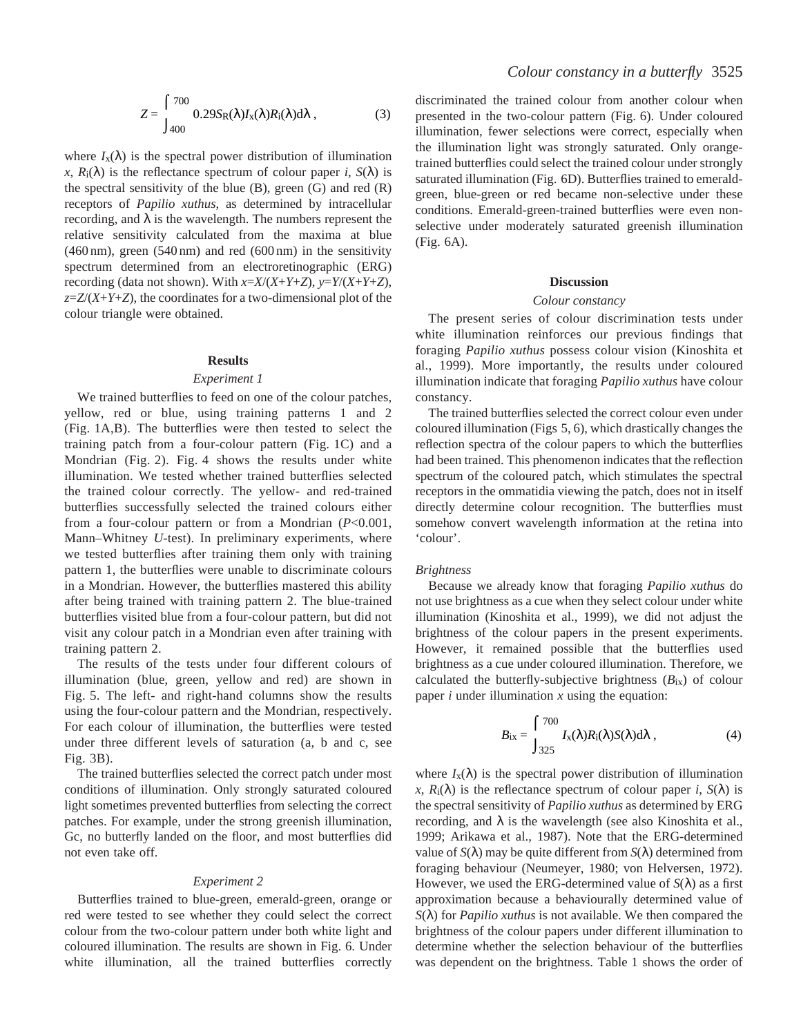$$
Z = \int_{400}^{700} 0.29 S_{R}(\lambda) I_{x}(\lambda) R_{i}(\lambda) d\lambda , \qquad (3)
$$

where  $I_{\text{x}}(\lambda)$  is the spectral power distribution of illumination  $x$ ,  $R_i(\lambda)$  is the reflectance spectrum of colour paper *i*,  $S(\lambda)$  is the spectral sensitivity of the blue  $(B)$ , green  $(G)$  and red  $(R)$ receptors of *Papilio xuthus*, as determined by intracellular recording, and  $\lambda$  is the wavelength. The numbers represent the relative sensitivity calculated from the maxima at blue (460 nm), green (540 nm) and red (600 nm) in the sensitivity spectrum determined from an electroretinographic (ERG) recording (data not shown). With *x*=*X*/(*X*+*Y*+*Z*), *y*=*Y*/(*X*+*Y*+*Z*), *z*=*Z*/(*X*+*Y*+*Z*), the coordinates for a two-dimensional plot of the colour triangle were obtained.

#### **Results**

#### *Experiment 1*

We trained butterflies to feed on one of the colour patches, yellow, red or blue, using training patterns 1 and 2 (Fig. 1A,B). The butterflies were then tested to select the training patch from a four-colour pattern (Fig. 1C) and a Mondrian (Fig. 2). Fig. 4 shows the results under white illumination. We tested whether trained butterflies selected the trained colour correctly. The yellow- and red-trained butterflies successfully selected the trained colours either from a four-colour pattern or from a Mondrian (*P*<0.001, Mann–Whitney *U*-test). In preliminary experiments, where we tested butterflies after training them only with training pattern 1, the butterflies were unable to discriminate colours in a Mondrian. However, the butterflies mastered this ability after being trained with training pattern 2. The blue-trained butterflies visited blue from a four-colour pattern, but did not visit any colour patch in a Mondrian even after training with training pattern 2.

The results of the tests under four different colours of illumination (blue, green, yellow and red) are shown in Fig. 5. The left- and right-hand columns show the results using the four-colour pattern and the Mondrian, respectively. For each colour of illumination, the butterflies were tested under three different levels of saturation (a, b and c, see Fig. 3B).

The trained butterflies selected the correct patch under most conditions of illumination. Only strongly saturated coloured light sometimes prevented butterflies from selecting the correct patches. For example, under the strong greenish illumination, Gc, no butterfly landed on the floor, and most butterflies did not even take off.

#### *Experiment 2*

Butterflies trained to blue-green, emerald-green, orange or red were tested to see whether they could select the correct colour from the two-colour pattern under both white light and coloured illumination. The results are shown in Fig. 6. Under white illumination, all the trained butterflies correctly

discriminated the trained colour from another colour when presented in the two-colour pattern (Fig. 6). Under coloured illumination, fewer selections were correct, especially when the illumination light was strongly saturated. Only orangetrained butterflies could select the trained colour under strongly saturated illumination (Fig. 6D). Butterflies trained to emeraldgreen, blue-green or red became non-selective under these conditions. Emerald-green-trained butterflies were even nonselective under moderately saturated greenish illumination (Fig. 6A).

## **Discussion**

# *Colour constancy*

The present series of colour discrimination tests under white illumination reinforces our previous findings that foraging *Papilio xuthus* possess colour vision (Kinoshita et al., 1999). More importantly, the results under coloured illumination indicate that foraging *Papilio xuthus* have colour constancy.

The trained butterflies selected the correct colour even under coloured illumination (Figs 5, 6), which drastically changes the reflection spectra of the colour papers to which the butterflies had been trained. This phenomenon indicates that the reflection spectrum of the coloured patch, which stimulates the spectral receptors in the ommatidia viewing the patch, does not in itself directly determine colour recognition. The butterflies must somehow convert wavelength information at the retina into 'colour'.

## *Brightness*

Because we already know that foraging *Papilio xuthus* do not use brightness as a cue when they select colour under white illumination (Kinoshita et al., 1999), we did not adjust the brightness of the colour papers in the present experiments. However, it remained possible that the butterflies used brightness as a cue under coloured illumination. Therefore, we calculated the butterfly-subjective brightness  $(B_{ix})$  of colour paper  $i$  under illumination  $x$  using the equation:

$$
B_{\rm ix} = \int_{325}^{700} I_{\rm x}(\lambda) R_{\rm i}(\lambda) S(\lambda) d\lambda , \qquad (4)
$$

where  $I_{\text{x}}(\lambda)$  is the spectral power distribution of illumination  $x$ ,  $R_i(\lambda)$  is the reflectance spectrum of colour paper *i*,  $S(\lambda)$  is the spectral sensitivity of *Papilio xuthus* as determined by ERG recording, and  $\lambda$  is the wavelength (see also Kinoshita et al., 1999; Arikawa et al., 1987). Note that the ERG-determined value of  $S(\lambda)$  may be quite different from  $S(\lambda)$  determined from foraging behaviour (Neumeyer, 1980; von Helversen, 1972). However, we used the ERG-determined value of *S*(λ) as a first approximation because a behaviourally determined value of *S*(λ) for *Papilio xuthus* is not available. We then compared the brightness of the colour papers under different illumination to determine whether the selection behaviour of the butterflies was dependent on the brightness. Table 1 shows the order of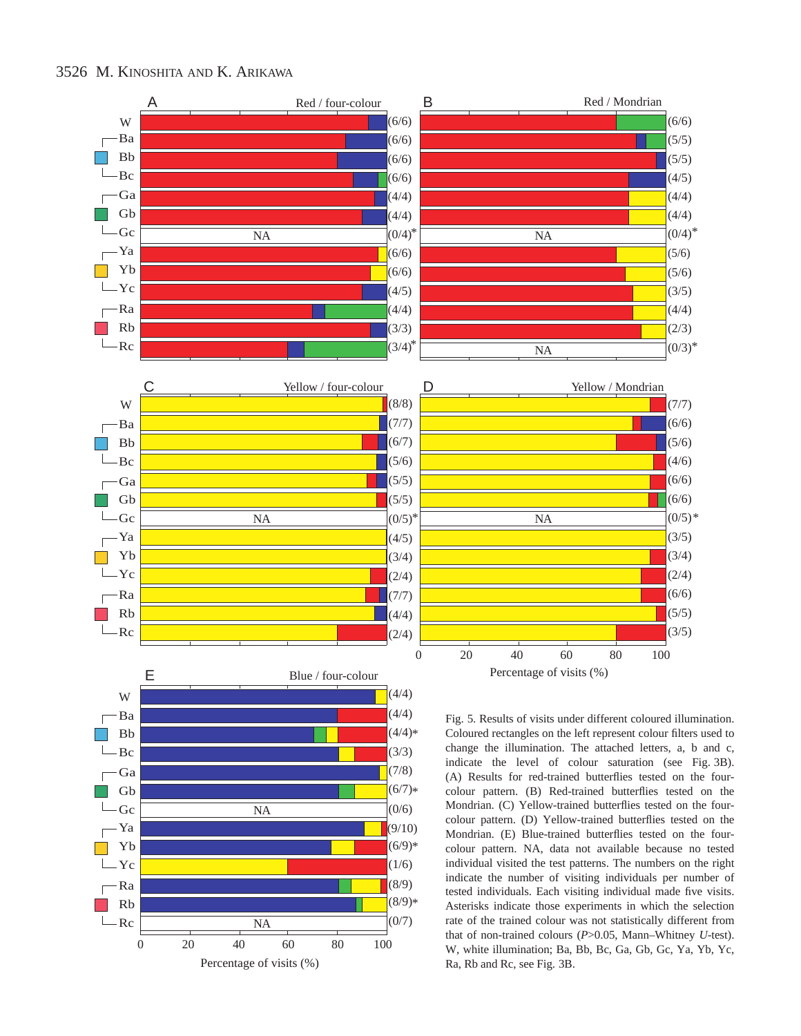

 $(4/4)*$ Bb  $\frac{1}{2}$ Bc (3/3) (7/8) Ga  $\Gamma$ Gb  $(6/7)*$  $\mathcal{L}$  $\Box$ Gc  $(0/6)$ NA (9/10) Ya  $\Gamma$ **Tale** Yb  $(6/9)*$  $-rc$  $(1/6)$ (8/9)  $\Gamma$ (8/9) \*  $\mathbb{R}^n$ Rb  $(0/7)$  $L_{\rm RC}$ NA 0 20 40 60 80 100 Percentage of visits (%)

Coloured rectangles on the left represent colour filters used to change the illumination. The attached letters, a, b and c, indicate the level of colour saturation (see Fig. 3B). (A) Results for red-trained butterflies tested on the fourcolour pattern. (B) Red-trained butterflies tested on the Mondrian. (C) Yellow-trained butterflies tested on the fourcolour pattern. (D) Yellow-trained butterflies tested on the Mondrian. (E) Blue-trained butterflies tested on the fourcolour pattern. NA, data not available because no tested individual visited the test patterns. The numbers on the right indicate the number of visiting individuals per number of tested individuals. Each visiting individual made five visits. Asterisks indicate those experiments in which the selection rate of the trained colour was not statistically different from that of non-trained colours (*P*>0.05, Mann–Whitney *U*-test). W, white illumination; Ba, Bb, Bc, Ga, Gb, Gc, Ya, Yb, Yc, Ra, Rb and Rc, see Fig. 3B.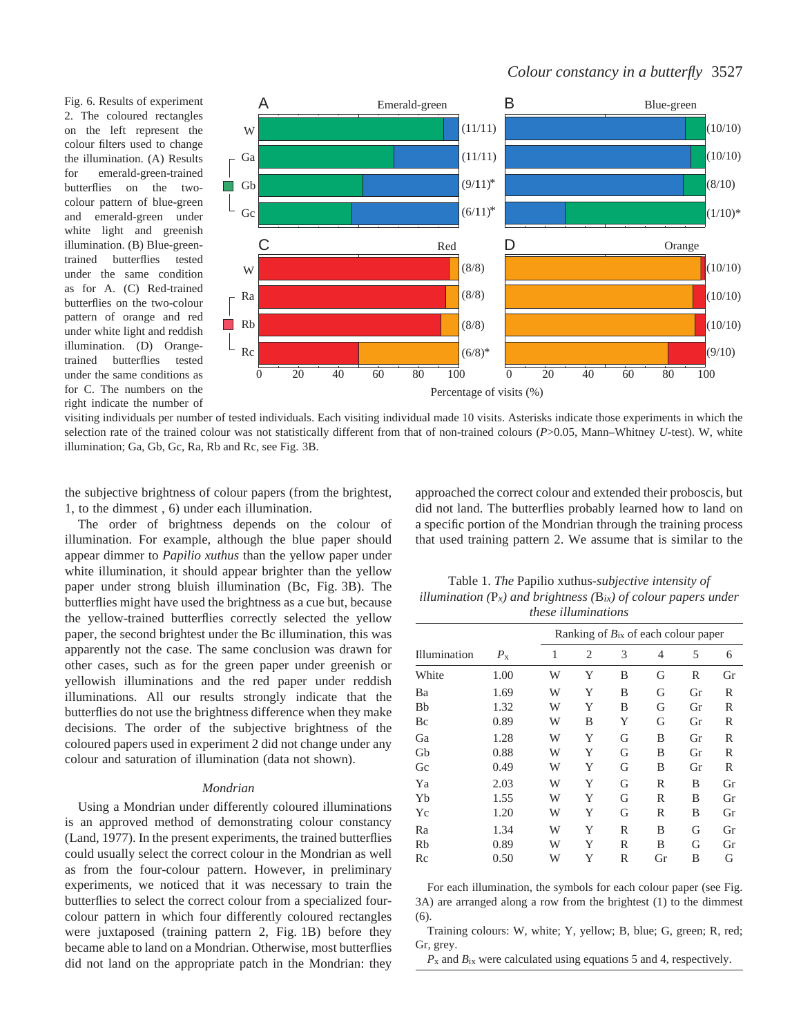Fig. 6. Results of experiment 2. The coloured rectangles on the left represent the colour filters used to change the illumination. (A) Results for emerald-green-trained butterflies on the twocolour pattern of blue-green and emerald-green under white light and greenish illumination. (B) Blue-greentrained butterflies tested under the same condition as for A. (C) Red-trained butterflies on the two-colour pattern of orange and red under white light and reddish illumination. (D) Orangetrained butterflies tested under the same conditions as for C. The numbers on the right indicate the number of



visiting individuals per number of tested individuals. Each visiting individual made 10 visits. Asterisks indicate those experiments in which the selection rate of the trained colour was not statistically different from that of non-trained colours (*P*>0.05, Mann–Whitney *U*-test). W, white illumination; Ga, Gb, Gc, Ra, Rb and Rc, see Fig. 3B.

the subjective brightness of colour papers (from the brightest, 1, to the dimmest , 6) under each illumination.

The order of brightness depends on the colour of illumination. For example, although the blue paper should appear dimmer to *Papilio xuthus* than the yellow paper under white illumination, it should appear brighter than the yellow paper under strong bluish illumination (Bc, Fig. 3B). The butterflies might have used the brightness as a cue but, because the yellow-trained butterflies correctly selected the yellow paper, the second brightest under the Bc illumination, this was apparently not the case. The same conclusion was drawn for other cases, such as for the green paper under greenish or yellowish illuminations and the red paper under reddish illuminations. All our results strongly indicate that the butterflies do not use the brightness difference when they make decisions. The order of the subjective brightness of the coloured papers used in experiment 2 did not change under any colour and saturation of illumination (data not shown).

## *Mondrian*

Using a Mondrian under differently coloured illuminations is an approved method of demonstrating colour constancy (Land, 1977). In the present experiments, the trained butterflies could usually select the correct colour in the Mondrian as well as from the four-colour pattern. However, in preliminary experiments, we noticed that it was necessary to train the butterflies to select the correct colour from a specialized fourcolour pattern in which four differently coloured rectangles were juxtaposed (training pattern 2, Fig. 1B) before they became able to land on a Mondrian. Otherwise, most butterflies did not land on the appropriate patch in the Mondrian: they approached the correct colour and extended their proboscis, but did not land. The butterflies probably learned how to land on a specific portion of the Mondrian through the training process that used training pattern 2. We assume that is similar to the

Table 1. *The* Papilio xuthus*-subjective intensity of illumination (*P*x) and brightness (*B*ix) of colour papers under these illuminations* 

| Illumination | $P_{\rm x}$ | Ranking of $B_{ix}$ of each colour paper |                |   |    |    |    |
|--------------|-------------|------------------------------------------|----------------|---|----|----|----|
|              |             | 1                                        | $\overline{2}$ | 3 | 4  | 5  | 6  |
| White        | 1.00        | W                                        | Y              | B | G  | R  | Gr |
| Ba           | 1.69        | W                                        | Y              | B | G  | Gr | R  |
| <b>Bb</b>    | 1.32        | W                                        | Y              | B | G  | Gr | R  |
| Bc           | 0.89        | W                                        | B              | Y | G  | Gr | R  |
| Ga           | 1.28        | W                                        | Y              | G | B  | Gr | R  |
| Gb           | 0.88        | W                                        | Y              | G | B  | Gr | R  |
| Gc           | 0.49        | W                                        | Y              | G | B  | Gr | R  |
| Ya           | 2.03        | W                                        | Y              | G | R  | B  | Gr |
| Yb           | 1.55        | W                                        | Y              | G | R  | B  | Gr |
| Yc           | 1.20        | W                                        | Y              | G | R  | B  | Gr |
| Ra           | 1.34        | W                                        | Y              | R | B  | G  | Gr |
| Rb           | 0.89        | W                                        | Y              | R | B  | G  | Gr |
| Rc           | 0.50        | W                                        | Y              | R | Gr | B  | G  |
|              |             |                                          |                |   |    |    |    |

For each illumination, the symbols for each colour paper (see Fig. 3A) are arranged along a row from the brightest (1) to the dimmest (6).

Training colours: W, white; Y, yellow; B, blue; G, green; R, red; Gr, grey.

*P*x and *B*ix were calculated using equations 5 and 4, respectively.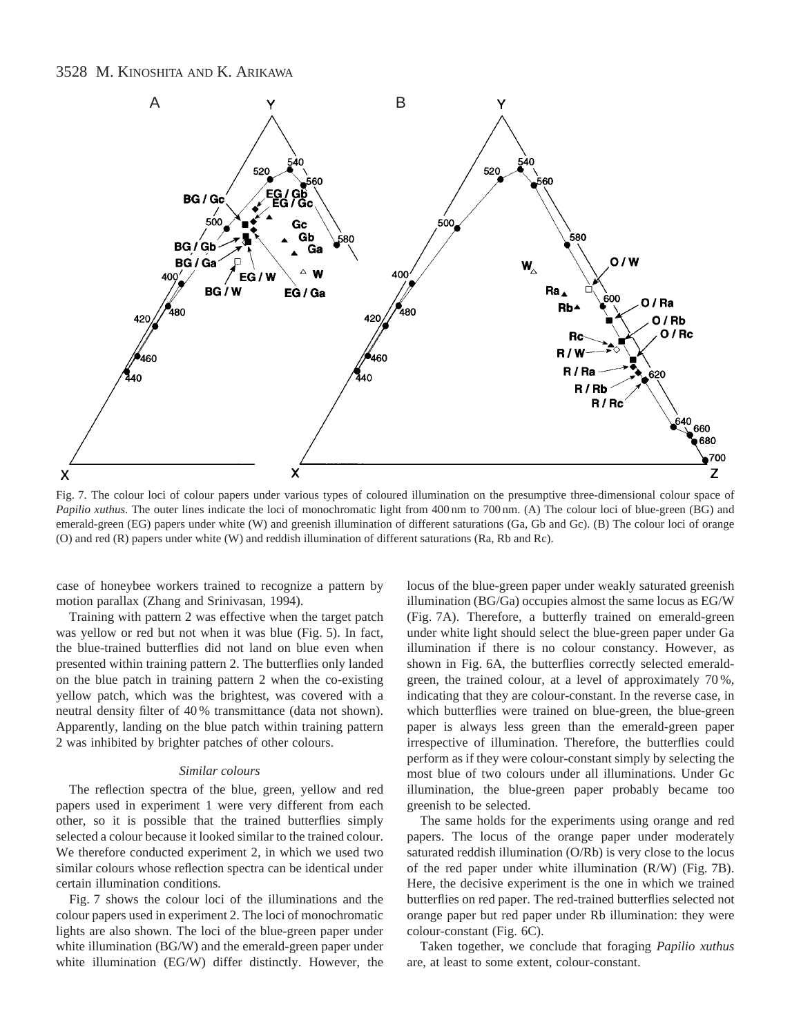# 3528 M. KINOSHITA AND K. ARIKAWA



Fig. 7. The colour loci of colour papers under various types of coloured illumination on the presumptive three-dimensional colour space of *Papilio xuthus*. The outer lines indicate the loci of monochromatic light from 400 nm to 700 nm. (A) The colour loci of blue-green (BG) and emerald-green (EG) papers under white (W) and greenish illumination of different saturations (Ga, Gb and Gc). (B) The colour loci of orange (O) and red (R) papers under white (W) and reddish illumination of different saturations (Ra, Rb and Rc).

case of honeybee workers trained to recognize a pattern by motion parallax (Zhang and Srinivasan, 1994).

Training with pattern 2 was effective when the target patch was yellow or red but not when it was blue (Fig. 5). In fact, the blue-trained butterflies did not land on blue even when presented within training pattern 2. The butterflies only landed on the blue patch in training pattern 2 when the co-existing yellow patch, which was the brightest, was covered with a neutral density filter of 40 % transmittance (data not shown). Apparently, landing on the blue patch within training pattern 2 was inhibited by brighter patches of other colours.

## *Similar colours*

The reflection spectra of the blue, green, yellow and red papers used in experiment 1 were very different from each other, so it is possible that the trained butterflies simply selected a colour because it looked similar to the trained colour. We therefore conducted experiment 2, in which we used two similar colours whose reflection spectra can be identical under certain illumination conditions.

Fig. 7 shows the colour loci of the illuminations and the colour papers used in experiment 2. The loci of monochromatic lights are also shown. The loci of the blue-green paper under white illumination (BG/W) and the emerald-green paper under white illumination (EG/W) differ distinctly. However, the

locus of the blue-green paper under weakly saturated greenish illumination (BG/Ga) occupies almost the same locus as EG/W (Fig. 7A). Therefore, a butterfly trained on emerald-green under white light should select the blue-green paper under Ga illumination if there is no colour constancy. However, as shown in Fig. 6A, the butterflies correctly selected emeraldgreen, the trained colour, at a level of approximately 70 %, indicating that they are colour-constant. In the reverse case, in which butterflies were trained on blue-green, the blue-green paper is always less green than the emerald-green paper irrespective of illumination. Therefore, the butterflies could perform as if they were colour-constant simply by selecting the most blue of two colours under all illuminations. Under Gc illumination, the blue-green paper probably became too greenish to be selected.

The same holds for the experiments using orange and red papers. The locus of the orange paper under moderately saturated reddish illumination (O/Rb) is very close to the locus of the red paper under white illumination (R/W) (Fig. 7B). Here, the decisive experiment is the one in which we trained butterflies on red paper. The red-trained butterflies selected not orange paper but red paper under Rb illumination: they were colour-constant (Fig. 6C).

Taken together, we conclude that foraging *Papilio xuthus* are, at least to some extent, colour-constant.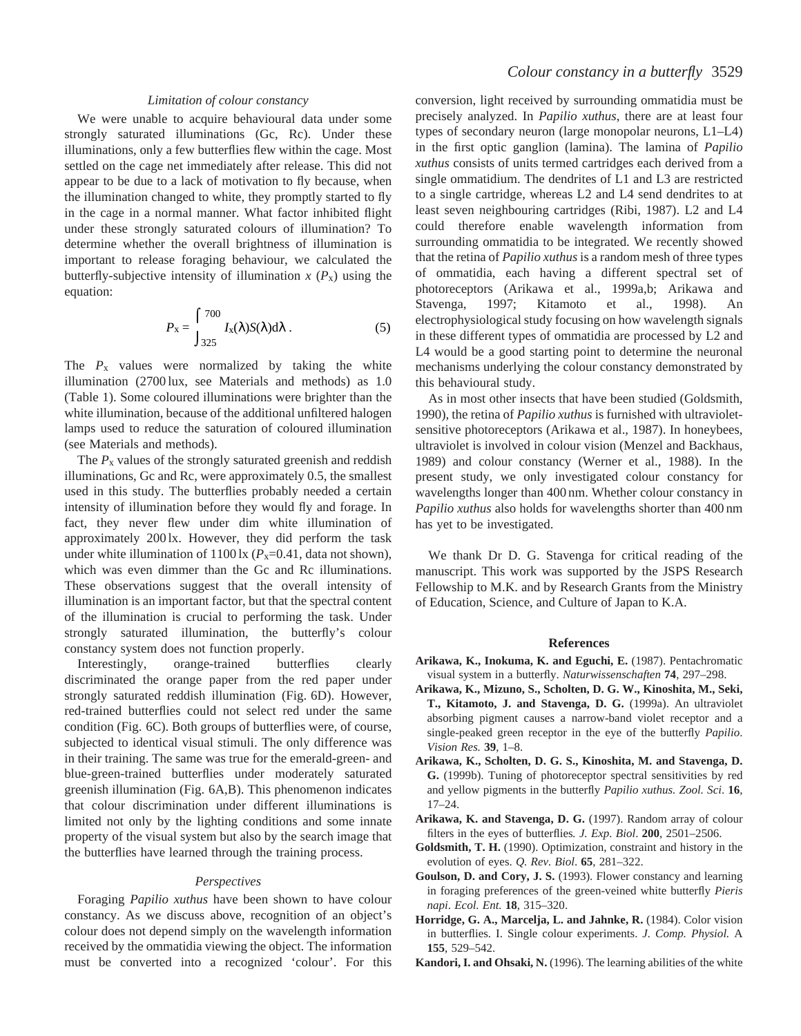# *Limitation of colour constancy*

We were unable to acquire behavioural data under some strongly saturated illuminations (Gc, Rc). Under these illuminations, only a few butterflies flew within the cage. Most settled on the cage net immediately after release. This did not appear to be due to a lack of motivation to fly because, when the illumination changed to white, they promptly started to fly in the cage in a normal manner. What factor inhibited flight under these strongly saturated colours of illumination? To determine whether the overall brightness of illumination is important to release foraging behaviour, we calculated the butterfly-subjective intensity of illumination  $x(P_x)$  using the equation:

$$
P_{\mathbf{x}} = \int_{325}^{700} I_{\mathbf{x}}(\lambda) S(\lambda) d\lambda . \tag{5}
$$

The  $P_x$  values were normalized by taking the white illumination (2700 lux, see Materials and methods) as 1.0 (Table 1). Some coloured illuminations were brighter than the white illumination, because of the additional unfiltered halogen lamps used to reduce the saturation of coloured illumination (see Materials and methods).

The  $P<sub>x</sub>$  values of the strongly saturated greenish and reddish illuminations, Gc and Rc, were approximately 0.5, the smallest used in this study. The butterflies probably needed a certain intensity of illumination before they would fly and forage. In fact, they never flew under dim white illumination of approximately 200 lx. However, they did perform the task under white illumination of  $1100 \text{lx}$  ( $P_x=0.41$ , data not shown), which was even dimmer than the Gc and Rc illuminations. These observations suggest that the overall intensity of illumination is an important factor, but that the spectral content of the illumination is crucial to performing the task. Under strongly saturated illumination, the butterfly's colour constancy system does not function properly.

Interestingly, orange-trained butterflies clearly discriminated the orange paper from the red paper under strongly saturated reddish illumination (Fig. 6D). However, red-trained butterflies could not select red under the same condition (Fig. 6C). Both groups of butterflies were, of course, subjected to identical visual stimuli. The only difference was in their training. The same was true for the emerald-green- and blue-green-trained butterflies under moderately saturated greenish illumination (Fig. 6A,B). This phenomenon indicates that colour discrimination under different illuminations is limited not only by the lighting conditions and some innate property of the visual system but also by the search image that the butterflies have learned through the training process.

#### *Perspectives*

Foraging *Papilio xuthus* have been shown to have colour constancy. As we discuss above, recognition of an object's colour does not depend simply on the wavelength information received by the ommatidia viewing the object. The information must be converted into a recognized 'colour'. For this

conversion, light received by surrounding ommatidia must be precisely analyzed. In *Papilio xuthus*, there are at least four types of secondary neuron (large monopolar neurons, L1–L4) in the first optic ganglion (lamina). The lamina of *Papilio xuthus* consists of units termed cartridges each derived from a single ommatidium. The dendrites of L1 and L3 are restricted to a single cartridge, whereas L2 and L4 send dendrites to at least seven neighbouring cartridges (Ribi, 1987). L2 and L4 could therefore enable wavelength information from surrounding ommatidia to be integrated. We recently showed that the retina of *Papilio xuthus* is a random mesh of three types of ommatidia, each having a different spectral set of photoreceptors (Arikawa et al., 1999a,b; Arikawa and Stavenga, 1997; Kitamoto et al., 1998). An electrophysiological study focusing on how wavelength signals in these different types of ommatidia are processed by L2 and L4 would be a good starting point to determine the neuronal mechanisms underlying the colour constancy demonstrated by this behavioural study.

As in most other insects that have been studied (Goldsmith, 1990), the retina of *Papilio xuthus* is furnished with ultravioletsensitive photoreceptors (Arikawa et al., 1987). In honeybees, ultraviolet is involved in colour vision (Menzel and Backhaus, 1989) and colour constancy (Werner et al., 1988). In the present study, we only investigated colour constancy for wavelengths longer than 400 nm. Whether colour constancy in *Papilio xuthus* also holds for wavelengths shorter than 400 nm has yet to be investigated.

We thank Dr D. G. Stavenga for critical reading of the manuscript. This work was supported by the JSPS Research Fellowship to M.K. and by Research Grants from the Ministry of Education, Science, and Culture of Japan to K.A.

#### **References**

- **Arikawa, K., Inokuma, K. and Eguchi, E.** (1987). Pentachromatic visual system in a butterfly. *Naturwissenschaften* **74**, 297–298.
- **Arikawa, K., Mizuno, S., Scholten, D. G. W., Kinoshita, M., Seki, T., Kitamoto, J. and Stavenga, D. G.** (1999a). An ultraviolet absorbing pigment causes a narrow-band violet receptor and a single-peaked green receptor in the eye of the butterfly *Papilio*. *Vision Res.* **39**, 1–8.
- **Arikawa, K., Scholten, D. G. S., Kinoshita, M. and Stavenga, D. G.** (1999b). Tuning of photoreceptor spectral sensitivities by red and yellow pigments in the butterfly *Papilio xuthus. Zool. Sci*. **16**, 17–24.
- **Arikawa, K. and Stavenga, D. G.** (1997). Random array of colour filters in the eyes of butterflies*. J. Exp. Biol*. **200**, 2501–2506.
- **Goldsmith, T. H.** (1990). Optimization, constraint and history in the evolution of eyes. *Q. Rev. Biol*. **65**, 281–322.
- **Goulson, D. and Cory, J. S.** (1993). Flower constancy and learning in foraging preferences of the green-veined white butterfly *Pieris napi*. *Ecol. Ent.* **18**, 315–320.
- **Horridge, G. A., Marcelja, L. and Jahnke, R.** (1984). Color vision in butterflies. I. Single colour experiments. *J. Comp. Physiol.* A **155**, 529–542.
- **Kandori, I. and Ohsaki, N.** (1996). The learning abilities of the white